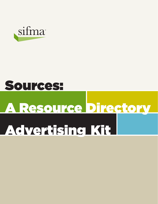

# A Resource Directory Sources: Advertising Kit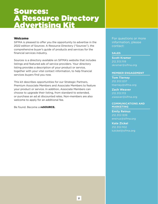### Welcome

SIFMA is pleased to offer you the opportunity to advertise in the 2022 edition of Sources: A Resource Directory ("Sources"), the comprehensive buyer's guide of products and services for the financial services industry.

Sources is a directory available on SIFMA's website that includes listings and featured ads of service providers. Your directory listing provides a description of your product or service, together with your vital contact information, to help financial services buyers find you now.

This kit describes opportunities for our Strategic Partners, Premium Associate Members and Associate Members to feature your product or service. In addition, Associate Members can choose to upgrade their listing, from standard to extended, or purchase an ad at discounted rates. Non-members are also welcome to apply for an additional fee.

Be found. Become a **reSOURCE.** 

For questions or more information, please contact:

#### **SALES**

**Scott Kramer** 212.313.1119 skramer@sifma.org

#### **MEMBER ENGAGEMENT**

**Tom Tierney** 212.313.1237 ttierney@sifma.org

**Zach Weaver** 212.313.1113 zweaver@sifma.org

#### **COMMUNICATIONS AND MARKETING**

**Emily Reinus** 212.313.1339 ereinus@sifma.org

**Kate Zickel** 212.313.1102 kzickel@sifma.org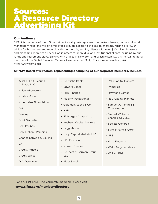### Our Audience

SIFMA is the voice of the U.S. securities industry. We represent the broker-dealers, banks and asset managers whose one million employees provide access to the capital markets, raising over \$2.9 trillion for businesses and municipalities in the U.S., serving clients with over \$20 trillion in assets and managing more than \$72 trillion in assets for individual and institutional clients including mutual funds and retirement plans. SIFMA, with offices in New York and Washington, D.C., is the U.S. regional member of the Global Financial Markets Association (GFMA). For more information, visit http://www.sifma.org.

### SIFMA's Board of Directors, representing a sampling of our corporate members, includes**:**

- ABN AMRO Clearing Chicago LLC
- AllianceBernstein
- Advisor Group
- Ameriprise Financial, Inc.
- Baird
- Barclays
- BofA Securities
- BNP Paribas
- BNY Mellon | Pershing
- Charles Schwab & Co., Inc.
- Citi
- Credit Agricole
- Credit Suisse
- D.A. Davidson
- Deutsche Bank
- Edward Jones
- FHN Financial
- Fidelity Institutional
- Goldman, Sachs & Co
- HSBC
- JP Morgan Chase & Co.
- Keybanc Capital Markets
- Legg Mason
- Loop Capital Markets LLC
- LPL Financial
- Morgan Stanley
- Neuberger Berman Group LLC
- Piper Sandler
- PNC Capital Markets
- Primerica
- Raymond James
- RBC Capital Markets
- Samuel A. Ramirez & Company, Inc.
- Siebert Williams Shank & Co., LLC
- Societe Generale
- Stifel Financial Corp.
- UBS
- Virtu Financial
- Wells Fargo Advisors
- William Blair

For a full list of SIFMA's corporate members, please visit www.sifma.org/member-directory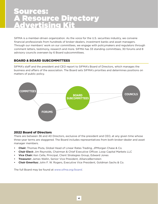SIFMA is a member-driven organization. As the voice for the U.S. securities industry, we convene financial professionals from hundreds of broker-dealers, investment banks and asset managers. Through our members' work on our committees, we engage with policymakers and regulators through comment letters, testimony, research and more. SIFMA has 33 standing committees, 30 forums and 8 advisory councils overseen by 6 Board subcommittees.

# BOARD & BOARD SUBCOMMITTEES

SIFMA's staff and the president and CEO report to SIFMA's Board of Directors, which manages the business and affairs of the association. The Board sets SIFMA's priorities and determines positions on matters of public policy.



### 2022 Board of Directors

There are between 36 and 40 Directors, exclusive of the president and CEO, at any given time whose three-year terms are staggered. The Board includes representatives from both broker-dealer and asset manager members.

- **• Chair:** Thomas Pluta, Global Head of Linear Rates Trading, JPMorgan Chase & Co.
- **• Chair Elect:** Jim Reynolds, Chairman & Chief Executive Officer, Loop Capital Markets LLC
- **• Vice Chair:** Ken Cella, Principal, Client Strategies Group, Edward Jones
- **• Treasurer:** James Wallin, Senior Vice President, AllianceBernstein
- **• Chair Emeritus:** John F. W. Rogers, Executive Vice President, Goldman Sachs & Co.

The full Board may be found at *www.sifma.org/board*.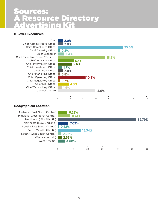# C-Level Executives

Chair Chief Administrative Officer Chief Compliance Officer Chief Diversity Officer Chief Economist Chief Executive Officer/President Chief Financial Officer Chief Information Officer Chief Investment Officer Chief Legal Officer Chief Marketing Officer Chief Operating Officer Chief Regulatory Officer Chief Risk Officer Chief Technology Officer General Counsel



# Geographical Location

Midwest (East North Central) Midwest (West North Central) Northeast (Mid-Atlantic) Northeast (New England) South (East South Central) **0.82%** South (South Atlantic) South (West South Central) West (Mountain) West (Pacific)

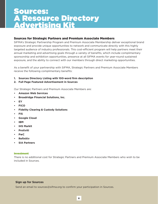### Sources for Strategic Partners and Premium Associate Members

SIFMA's Strategic Partnership Program and Premium Associate Membership deliver exceptional brand exposure and provide unique opportunities to network and communicate directly with this highly targeted audience of industry professionals. This cost-efficient program will help partners meet their annual marketing and advertising goals through a variety of benefits, which include complimentary sponsorship and exhibition opportunities, presence at all SIFMA events for year-round sustained exposure, and the ability to connect with our members through direct marketing opportunities.

As a benefit of your partnership with SIFMA, Strategic Partners and Premium Associate Members receive the following complimentary benefits:

- **1. Sources Directory Listing with 100-word firm description**
- **2. Full Page Featured Advertisement in Sources**

Our Strategic Partners and Premium Associate Members are:

- **• Amazon Web Services**
- **• Broadridge Financial Solutions, Inc.**
- **• EY**
- **• FICO**
- **• Fidelity Clearing & Custody Solutions**
- **• FIS**
- **• Google Cloud**
- **• IBM**
- **• IHS Markit**
- **• Protiviti**
- **• PwC**
- **• Refinitiv**
- **• SIA Partners**

#### Investment

There is no additional cost for Strategic Partners and Premium Associate Members who wish to be included in Sources.

#### **Sign up for Sources**

Send an email to sources@sifma.org to confirm your participation in Sources.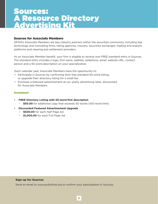### Sources for Associate Members

SIFMA's Associate Members are key industry partners within the securities community, including law, technology and consulting firms, rating agencies, insurers, securities exchanges, trading and analytic platforms and clearing and settlement providers.

As an Associate Member benefit, your firm is eligible to receive one FREE standard entry in Sources. The standard entry includes a logo, firm name, address, telephone, email, website URL, contact person and a 50-word description on your specialization.

Each calendar year, Associate Members have the opportunity to:

- Participate in Sources by confirming their free standard 50-word listing, or upgrade their directory listing for a small fee
- Purchase a featured advertisement at our yearly advertising rates, discounted for Associate Members.

#### Investment

- **• FREE Directory Listing with 50-word firm description**
	- − **\$50.00** for additional copy that exceeds 50 words (100-word limit)
- **• Discounted Featured Advertisement Upgrade**
	- − **\$500.00** for each Half Page Ad
	- − **\$1,000.00** for each Full Page Ad

#### **Sign up for Sources**

Send an email to sources@sifma.org to confirm your participation in Sources.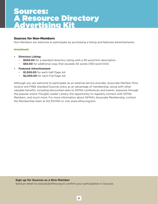### Sources for Non-Members

Non-Members are welcome to participate by purchasing a listing and featured advertisements.

#### Investment

- **• Directory Listing:**
	- − **\$500.00** for a standard directory listing with a 50-word firm description
	- − **\$50.00** for additional copy that exceeds 50 words (100-word limit)
- **• Featured Advertisement**
	- − **\$1,500.00** for each Half Page Ad
	- − **\$2,500.00** for each Full Page Ad

Although you are welcome to participate as an external service provider, Associate Member firms receive one FREE standard Sources entry as an advantage of membership, along with other valuable benefits, including discounted rates to SIFMA conferences and events, exposure through the popular online Thought Leader Library, the opportunity to regularly connect with SIFMA Members, and much more. For more information about SIFMA's Associate Membership, contact the Membership team at 212.313.1150 or visit www.sifma.org/join.

#### **Sign up for Sources as a Non-Member**

Send an email to sources@sifma.org to confirm your participation in Sources.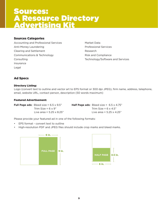### Sources Categories

Accounting and Professional Services Anti-Money Laundering Clearing and Settlement Communications & Technology Consulting Insurance Legal

Market Data Professional Services Research Risk and Compliance Technology/Software and Services

# Ad Specs

#### Directory Listing:

Logo (convert text to outline and vector art to EPS format or 300 dpi JPEG), firm name, address, telephone, email, website URL, contact person, description (50 words maximum)

#### Featured Advertisement:

| <b>Full Page ads:</b> Bleed size = $6.5 \times 9.5$ " | <b>Half Page ads:</b> Bleed size = $6.5 \times 4.75$ " |
|-------------------------------------------------------|--------------------------------------------------------|
| Trim Size = $6 \times 9"$                             | Trim Size = $6 \times 4.5"$                            |
| Live area = $5.25 \times 8.25$ "                      | Live area = $5.25 \times 4.25$ "                       |

Please provide your featured ad in one of the following formats:

- EPS format convert text to outline
- High-resolution PDF and JPEG files should include crop marks and bleed marks.